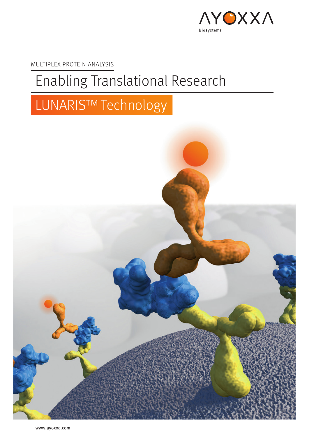

MULTIPLEX PROTEIN ANALYSIS

## Enabling Translational Research

# LUNARIS™Technology

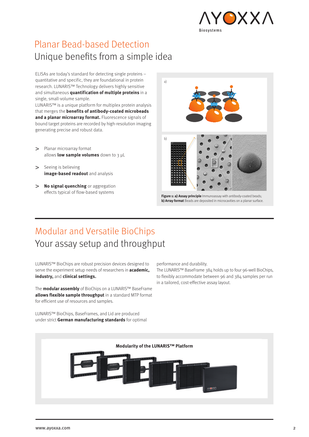

### Planar Bead-based Detection Unique benefits from a simple idea

ELISAs are today's standard for detecting single proteins – quantitative and specific, they are foundational in protein research. LUNARIS™ Technology delivers highly sensitive and simultaneous **quantification of multiple proteins** in a single, small-volume sample.

LUNARIS™ is a unique platform for multiplex protein analysis that merges the **benefits of antibody-coated microbeads and a planar microarray format.** Fluorescence signals of bound target proteins are recorded by high-resolution imaging generating precise and robust data.

- > Planar microarray format allows **low sample volumes** down to 3 µL
- > Seeing is believing **image-based readout** and analysis
- **No signal quenching** or aggregation effects typical of flow-based systems



**b) Array format** Beads are deposited in microcavities on a planar surface.

### Modular and Versatile BioChips Your assay setup and throughput

LUNARIS™ BioChips are robust precision devices designed to serve the experiment setup needs of researchers in **academic, industry,** and **clinical settings.** 

The **modular assembly** of BioChips on a LUNARIS™ BaseFrame **allows flexible sample throughput** in a standard MTP format for efficient use of resources and samples.

LUNARIS™ BioChips, BaseFrames, and Lid are produced under strict **German manufacturing standards** for optimal performance and durability.

The LUNARIS™ BaseFrame 384 holds up to four 96-well BioChips, to flexibly accommodate between 96 and 384 samples per run in a tailored, cost-effective assay layout.

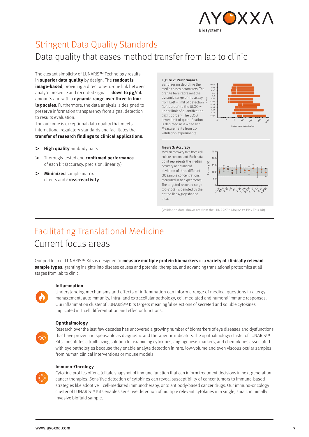

## Stringent Data Quality Standards

Data quality that eases method transfer from lab to clinic

The elegant simplicity of LUNARIS™ Technology results in **superior data quality** by design. The **readout is image-based**, providing a direct one-to-one link between analyte presence and recorded signal – **down to pg/mL** amounts and with a **dynamic range over three to four log scales**. Furthermore, the data analysis is designed to preserve information transparency from signal detection to results evaluation.

The outcome is exceptional data quality that meets international regulatory standards and facilitates the **transfer of research findings to clinical applications**.

#### **High quality** antibody pairs  $\geq$

- Thorougly tested and **confirmed performance** of each kit (accuracy, precision, linearity)
- **Minimized** sample matrix effects and **cross-reactivity**



(Validation data shown are from the LUNARIS™ Mouse 12-Plex Th17 Kit)

## Facilitating Translational Medicine Current focus areas

Our portfolio of LUNARIS™ Kits is designed to **measure multiple protein biomarkers** in a **variety of clinically relevant sample types**, granting insights into disease causes and potential therapies, and advancing translational proteomics at all stages from lab to clinic.

#### **Inflammation**

Understanding mechanisms and effects of inflammation can inform a range of medical questions in allergy management, autoimmunity, intra- and extracellular pathology, cell-mediated and humoral immune responses. Our inflammation cluster of LUNARIS™ Kits targets meaningful selections of secreted and soluble cytokines implicated in T cell differentiation and effector functions.

#### **Ophthalmology**

 $\textcircled{\small\bf 0}$ 

#### Research over the last few decades has uncovered a growing number of biomarkers of eye diseases and dysfunctions that have proven indispensable as diagnostic and therapeutic indicators.The ophthalmology cluster of LUNARIS™ Kits constitutes a trailblazing solution for examining cytokines, angiogenesis markers, and chemokines associated with eye pathologies because they enable analyte detection in rare, low-volume and even viscous ocular samples from human clinical interventions or mouse models.



#### **Immuno-Oncology**

Cytokine profiles offer a telltale snapshot of immune function that can inform treatment decisions in next-generation cancer therapies. Sensitive detection of cytokines can reveal susceptibility of cancer tumors to immune-based strategies like adoptive T cell-mediated immunotherapy, or to antibody-based cancer drugs. Our immuno-oncology cluster of LUNARIS™ Kits enables sensitive detection of multiple relevant cytokines in a single, small, minimally invasive biofluid sample.